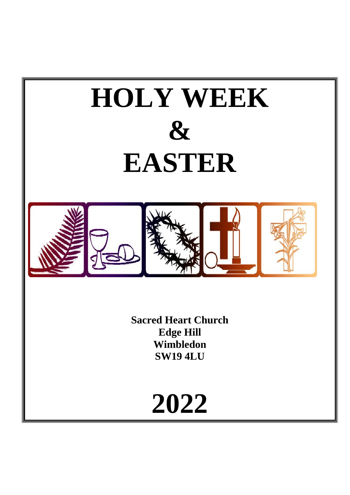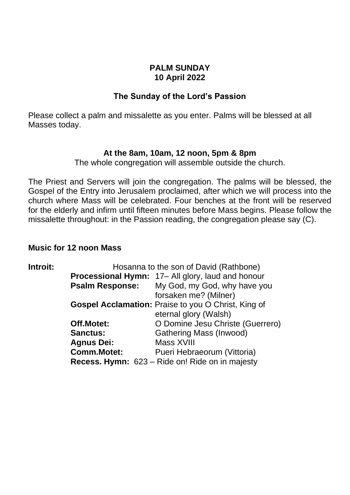### **PALM SUNDAY 10 April 2022**

# **The Sunday of the Lord's Passion**

Please collect a palm and missalette as you enter. Palms will be blessed at all Masses today.

## **At the 8am, 10am, 12 noon, 5pm & 8pm**

The whole congregation will assemble outside the church.

The Priest and Servers will join the congregation. The palms will be blessed, the Gospel of the Entry into Jerusalem proclaimed, after which we will process into the church where Mass will be celebrated. Four benches at the front will be reserved for the elderly and infirm until fifteen minutes before Mass begins. Please follow the missalette throughout: in the Passion reading, the congregation please say (C).

# **Music for 12 noon Mass**

| Introit: | Hosanna to the son of David (Rathbone) |                                                          |
|----------|----------------------------------------|----------------------------------------------------------|
|          |                                        | <b>Processional Hymn:</b> 17– All glory, laud and honour |
|          | <b>Psalm Response:</b>                 | My God, my God, why have you                             |
|          |                                        | forsaken me? (Milner)                                    |
|          |                                        | Gospel Acclamation: Praise to you O Christ, King of      |
|          |                                        | eternal glory (Walsh)                                    |
|          | Off.Motet:                             | O Domine Jesu Christe (Guerrero)                         |
|          | <b>Sanctus:</b>                        | <b>Gathering Mass (Inwood)</b>                           |
|          | <b>Agnus Dei:</b>                      | Mass XVIII                                               |
|          | <b>Comm.Motet:</b>                     | Pueri Hebraeorum (Vittoria)                              |
|          |                                        | <b>Recess. Hymn:</b> 623 – Ride on! Ride on in majesty   |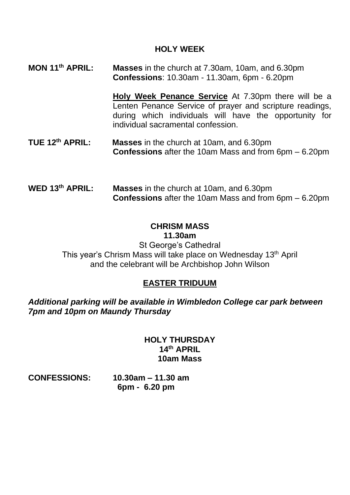# **HOLY WEEK**

**MON 11 Masses** in the church at 7.30am, 10am, and 6.30pm **Confessions**: 10.30am - 11.30am, 6pm - 6.20pm

> **Holy Week Penance Service** At 7.30pm there will be a Lenten Penance Service of prayer and scripture readings, during which individuals will have the opportunity for individual sacramental confession.

- TUE 12<sup>th</sup> APRIL: **Masses** in the church at 10am, and 6.30pm **Confessions** after the 10am Mass and from 6pm – 6.20pm
- WED 13<sup>th</sup> APRIL: **Masses** in the church at 10am, and 6.30pm **Confessions** after the 10am Mass and from 6pm – 6.20pm

#### **CHRISM MASS 11.30am**

St George's Cathedral This year's Chrism Mass will take place on Wednesday 13<sup>th</sup> April and the celebrant will be Archbishop John Wilson

# **EASTER TRIDUUM**

*Additional parking will be available in Wimbledon College car park between 7pm and 10pm on Maundy Thursday*

### **HOLY THURSDAY 14 th APRIL 10am Mass**

**CONFESSIONS: 10.30am – 11.30 am 6pm - 6.20 pm**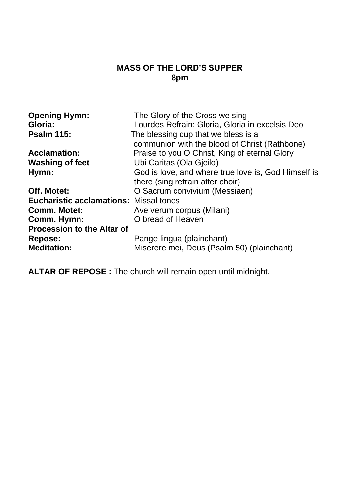# **MASS OF THE LORD'S SUPPER 8pm**

| <b>Opening Hymn:</b>                          | The Glory of the Cross we sing                      |
|-----------------------------------------------|-----------------------------------------------------|
| Gloria:                                       | Lourdes Refrain: Gloria, Gloria in excelsis Deo     |
| <b>Psalm 115:</b>                             | The blessing cup that we bless is a                 |
|                                               | communion with the blood of Christ (Rathbone)       |
| <b>Acclamation:</b>                           | Praise to you O Christ, King of eternal Glory       |
| <b>Washing of feet</b>                        | Ubi Caritas (Ola Gjeilo)                            |
| Hymn:                                         | God is love, and where true love is, God Himself is |
|                                               | there (sing refrain after choir)                    |
| Off. Motet:                                   | O Sacrum convivium (Messiaen)                       |
| <b>Eucharistic acclamations: Missal tones</b> |                                                     |
| <b>Comm. Motet:</b>                           | Ave verum corpus (Milani)                           |
| Comm. Hymn:                                   | O bread of Heaven                                   |
| <b>Procession to the Altar of</b>             |                                                     |
| Repose:                                       | Pange lingua (plainchant)                           |
| <b>Meditation:</b>                            | Miserere mei, Deus (Psalm 50) (plainchant)          |

**ALTAR OF REPOSE :** The church will remain open until midnight.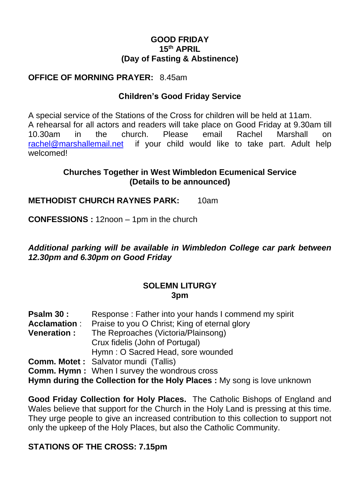## **GOOD FRIDAY 15 th APRIL (Day of Fasting & Abstinence)**

# **OFFICE OF MORNING PRAYER:** 8.45am

# **Children's Good Friday Service**

A special service of the Stations of the Cross for children will be held at 11am. A rehearsal for all actors and readers will take place on Good Friday at 9.30am till 10.30am in the church. Please email Rachel Marshall on [rachel@marshallemail.net](mailto:rachel@marshallemail.net) if your child would like to take part. Adult help welcomed!

# **Churches Together in West Wimbledon Ecumenical Service (Details to be announced)**

## **METHODIST CHURCH RAYNES PARK:** 10am

**CONFESSIONS :** 12noon – 1pm in the church

*Additional parking will be available in Wimbledon College car park between 12.30pm and 6.30pm on Good Friday*

### **SOLEMN LITURGY 3pm**

| <b>Psalm 30 :</b>   | Response: Father into your hands I commend my spirit |
|---------------------|------------------------------------------------------|
| Acclamation :       | Praise to you O Christ; King of eternal glory        |
| <b>Veneration :</b> | The Reproaches (Victoria/Plainsong)                  |
|                     | Crux fidelis (John of Portugal)                      |
|                     | Hymn: O Sacred Head, sore wounded                    |
|                     | <b>Comm. Motet:</b> Salvator mundi (Tallis)          |
|                     | <b>Comm. Hymn:</b> When I survey the wondrous cross  |

**Hymn during the Collection for the Holy Places :** My song is love unknown

**Good Friday Collection for Holy Places.** The Catholic Bishops of England and Wales believe that support for the Church in the Holy Land is pressing at this time. They urge people to give an increased contribution to this collection to support not only the upkeep of the Holy Places, but also the Catholic Community.

# **STATIONS OF THE CROSS: 7.15pm**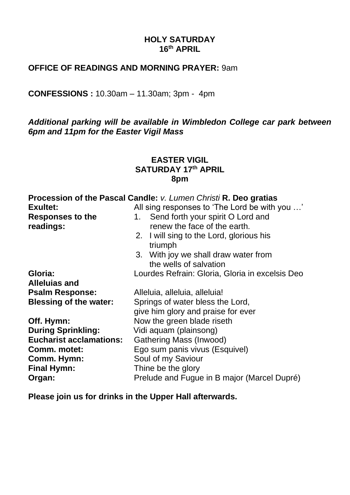# **HOLY SATURDAY 16 th APRIL**

# **OFFICE OF READINGS AND MORNING PRAYER:** 9am

**CONFESSIONS :** 10.30am – 11.30am; 3pm - 4pm

*Additional parking will be available in Wimbledon College car park between 6pm and 11pm for the Easter Vigil Mass*

## **EASTER VIGIL SATURDAY 17 th APRIL 8pm**

|                                | Procession of the Pascal Candle: v. Lumen Christi R. Deo gratias |
|--------------------------------|------------------------------------------------------------------|
| <b>Exultet:</b>                | All sing responses to 'The Lord be with you '                    |
| Responses to the               | Send forth your spirit O Lord and<br>1.                          |
| readings:                      | renew the face of the earth.                                     |
|                                | 2. I will sing to the Lord, glorious his                         |
|                                | triumph                                                          |
|                                | 3. With joy we shall draw water from                             |
|                                | the wells of salvation                                           |
| Gloria:                        | Lourdes Refrain: Gloria, Gloria in excelsis Deo                  |
| <b>Alleluias and</b>           |                                                                  |
| <b>Psalm Response:</b>         | Alleluia, alleluia, alleluia!                                    |
| <b>Blessing of the water:</b>  | Springs of water bless the Lord,                                 |
|                                | give him glory and praise for ever                               |
| Off. Hymn:                     | Now the green blade riseth                                       |
| <b>During Sprinkling:</b>      | Vidi aquam (plainsong)                                           |
| <b>Eucharist acclamations:</b> | Gathering Mass (Inwood)                                          |
| Comm. motet:                   | Ego sum panis vivus (Esquivel)                                   |
| Comm. Hymn:                    | Soul of my Saviour                                               |
| <b>Final Hymn:</b>             | Thine be the glory                                               |
| Organ:                         | Prelude and Fugue in B major (Marcel Dupré)                      |

**Please join us for drinks in the Upper Hall afterwards.**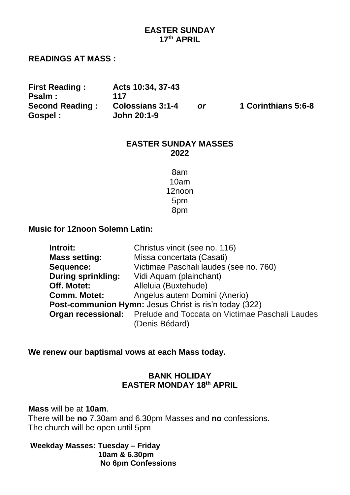# **EASTER SUNDAY 17 th APRIL**

#### **READINGS AT MASS :**

**First Reading : Acts 10:34, 37-43 Psalm : 117**

**Second Reading : Colossians 3:1-4** *or* **1 Corinthians 5:6-8 Gospel : John 20:1-9**

#### **EASTER SUNDAY MASSES 2022**

8am 10am 12noon 5pm 8pm

### **Music for 12noon Solemn Latin:**

| Introit:                  | Christus vincit (see no. 116)                                                               |
|---------------------------|---------------------------------------------------------------------------------------------|
| <b>Mass setting:</b>      | Missa concertata (Casati)                                                                   |
| Sequence:                 | Victimae Paschali laudes (see no. 760)                                                      |
| <b>During sprinkling:</b> | Vidi Aquam (plainchant)                                                                     |
| Off. Motet:               | Alleluia (Buxtehude)                                                                        |
| <b>Comm. Motet:</b>       | Angelus autem Domini (Anerio)                                                               |
|                           | Post-communion Hymn: Jesus Christ is ris'n today (322)                                      |
|                           | <b>Organ recessional:</b> Prelude and Toccata on Victimae Paschali Laudes<br>(Denis Bédard) |

**We renew our baptismal vows at each Mass today.**

## **BANK HOLIDAY EASTER MONDAY 18 th APRIL**

**Mass** will be at **10am**.

There will be **no** 7.30am and 6.30pm Masses and **no** confessions. The church will be open until 5pm

**Weekday Masses: Tuesday – Friday 10am & 6.30pm No 6pm Confessions**